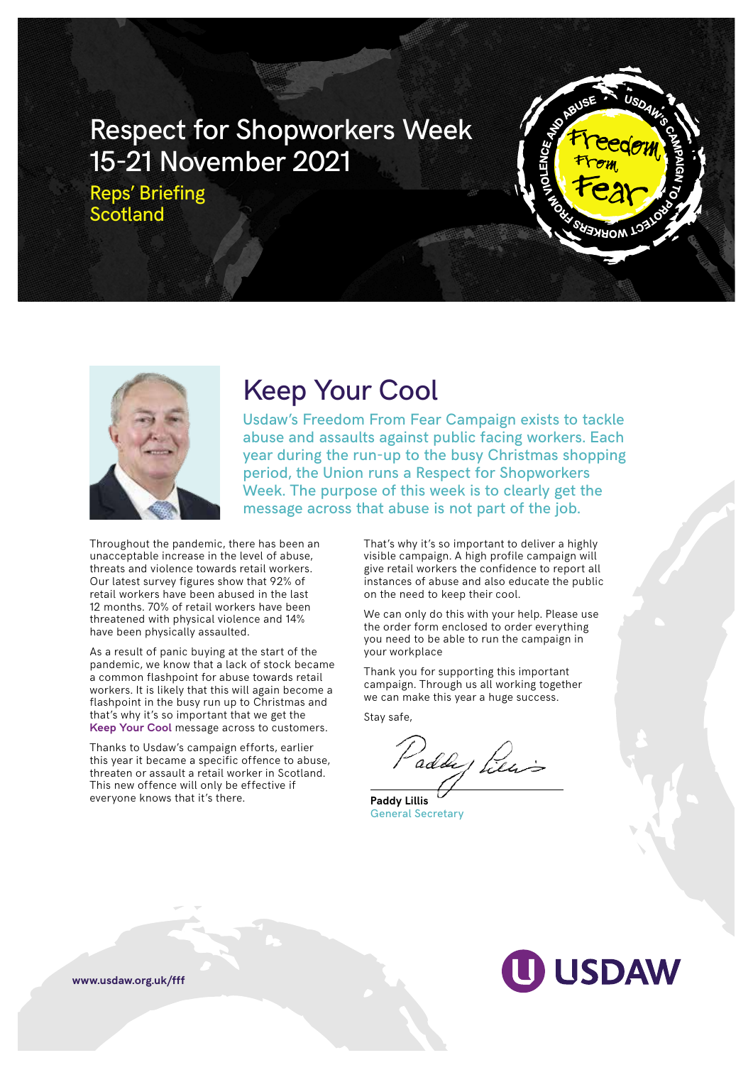# Respect for Shopworkers Week 15-21 November 2021

Reps' Briefing **Scotland** 





## Keep Your Cool

Usdaw's Freedom From Fear Campaign exists to tackle abuse and assaults against public facing workers. Each year during the run-up to the busy Christmas shopping period, the Union runs a Respect for Shopworkers Week. The purpose of this week is to clearly get the message across that abuse is not part of the job.

Throughout the pandemic, there has been an unacceptable increase in the level of abuse, threats and violence towards retail workers. Our latest survey figures show that 92% of retail workers have been abused in the last 12 months. 70% of retail workers have been threatened with physical violence and 14% have been physically assaulted.

As a result of panic buying at the start of the pandemic, we know that a lack of stock became a common flashpoint for abuse towards retail workers. It is likely that this will again become a flashpoint in the busy run up to Christmas and that's why it's so important that we get the **Keep Your Cool** message across to customers.

Thanks to Usdaw's campaign efforts, earlier this year it became a specific offence to abuse, threaten or assault a retail worker in Scotland. This new offence will only be effective if everyone knows that it's there.

That's why it's so important to deliver a highly visible campaign. A high profile campaign will give retail workers the confidence to report all instances of abuse and also educate the public on the need to keep their cool.

We can only do this with your help. Please use the order form enclosed to order everything you need to be able to run the campaign in your workplace

Thank you for supporting this important campaign. Through us all working together we can make this year a huge success.

Stay safe,

addy Piers

**Paddy Lillis** General Secretary



**www.usdaw.org.uk/fff**